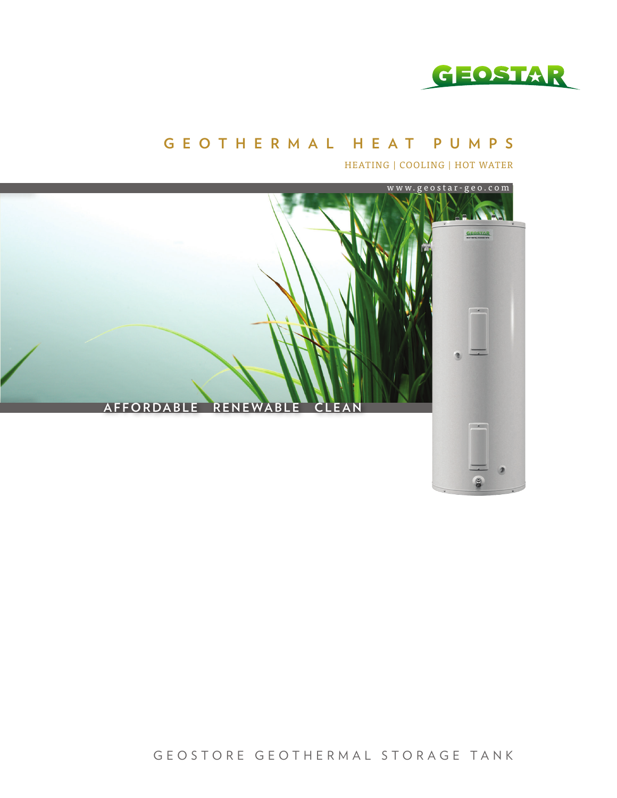

#### **GEOTHERMAL HEAT PUMPS**

HEATING | COOLING | HOT WATER



GEOSTORE GEOTHERMAL STORAGE TANK